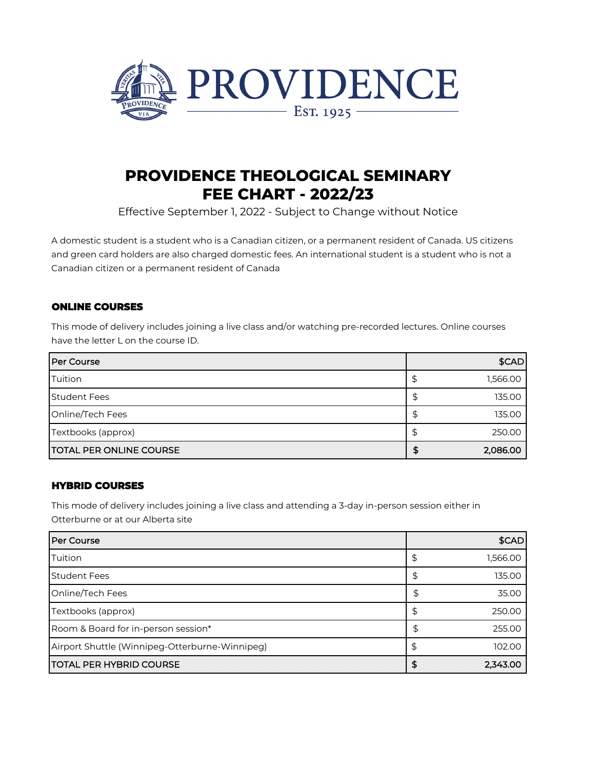

# **PROVIDENCE THEOLOGICAL SEMINARY FEE CHART - 2022/23**

Effective September 1, 2022 - Subject to Change without Notice

A domestic student is a student who is a Canadian citizen, or a permanent resident of Canada. US citizens and green card holders are also charged domestic fees. An international student is a student who is not a Canadian citizen or a permanent resident of Canada

# **ONLINE COURSES**

This mode of delivery includes joining a live class and/or watching pre-recorded lectures. Online courses have the letter L on the course ID.

| <b>Per Course</b>               |    | \$CAD    |
|---------------------------------|----|----------|
| Tuition                         | ₽  | 1,566.00 |
| <b>Student Fees</b>             | \$ | 135.00   |
| Online/Tech Fees                | £  | 135.00   |
| Textbooks (approx)              |    | 250.00   |
| <b>ITOTAL PER ONLINE COURSE</b> | Œ  | 2,086.00 |

# **HYBRID COURSES**

This mode of delivery includes joining a live class and attending a 3-day in-person session either in Otterburne or at our Alberta site

| l Per Course                                   | \$CAD    |
|------------------------------------------------|----------|
| Tuition                                        | 1,566.00 |
| <b>Student Fees</b>                            | 135.00   |
| Online/Tech Fees                               | 35.00    |
| Textbooks (approx)                             | 250.00   |
| Room & Board for in-person session*            | 255.00   |
| Airport Shuttle (Winnipeg-Otterburne-Winnipeg) | 102.00   |
| <b>TOTAL PER HYBRID COURSE</b>                 | 2,343.00 |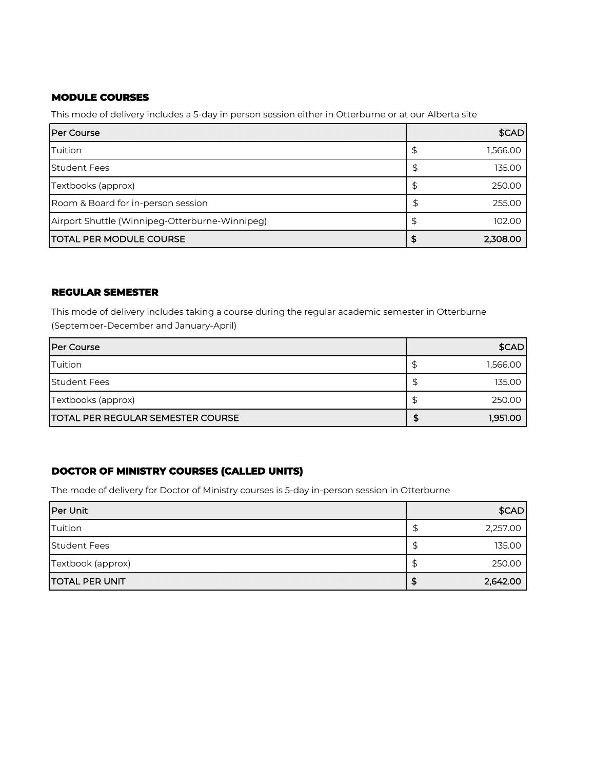## **MODULE COURSES**

This mode of delivery includes a 5-day in person session either in Otterburne or at our Alberta site

| l Per Course                                   |   | \$CAD    |
|------------------------------------------------|---|----------|
| Tuition                                        |   | 1,566.00 |
| <b>Student Fees</b>                            |   | 135.00   |
| Textbooks (approx)                             | ⊅ | 250.00   |
| Room & Board for in-person session             | S | 255.00   |
| Airport Shuttle (Winnipeg-Otterburne-Winnipeg) |   | 102.00   |
| <b>TOTAL PER MODULE COURSE</b>                 |   | 2,308.00 |

#### **REGULAR SEMESTER**

This mode of delivery includes taking a course during the regular academic semester in Otterburne (September-December and January-April)

| <b>Per Course</b>                        | \$CAD    |
|------------------------------------------|----------|
| Tuition                                  | 1,566.00 |
| <b>Student Fees</b>                      | 135.00   |
| Textbooks (approx)                       | 250.00   |
| <b>TOTAL PER REGULAR SEMESTER COURSE</b> | 1,951.00 |

# **DOCTOR OF MINISTRY COURSES (CALLED UNITS)**

The mode of delivery for Doctor of Ministry courses is 5-day in-person session in Otterburne

| Per Unit              | \$CAD    |
|-----------------------|----------|
| Tuition               | 2,257.00 |
| <b>Student Fees</b>   | 135.00   |
| Textbook (approx)     | 250.00   |
| <b>TOTAL PER UNIT</b> | 2,642.00 |